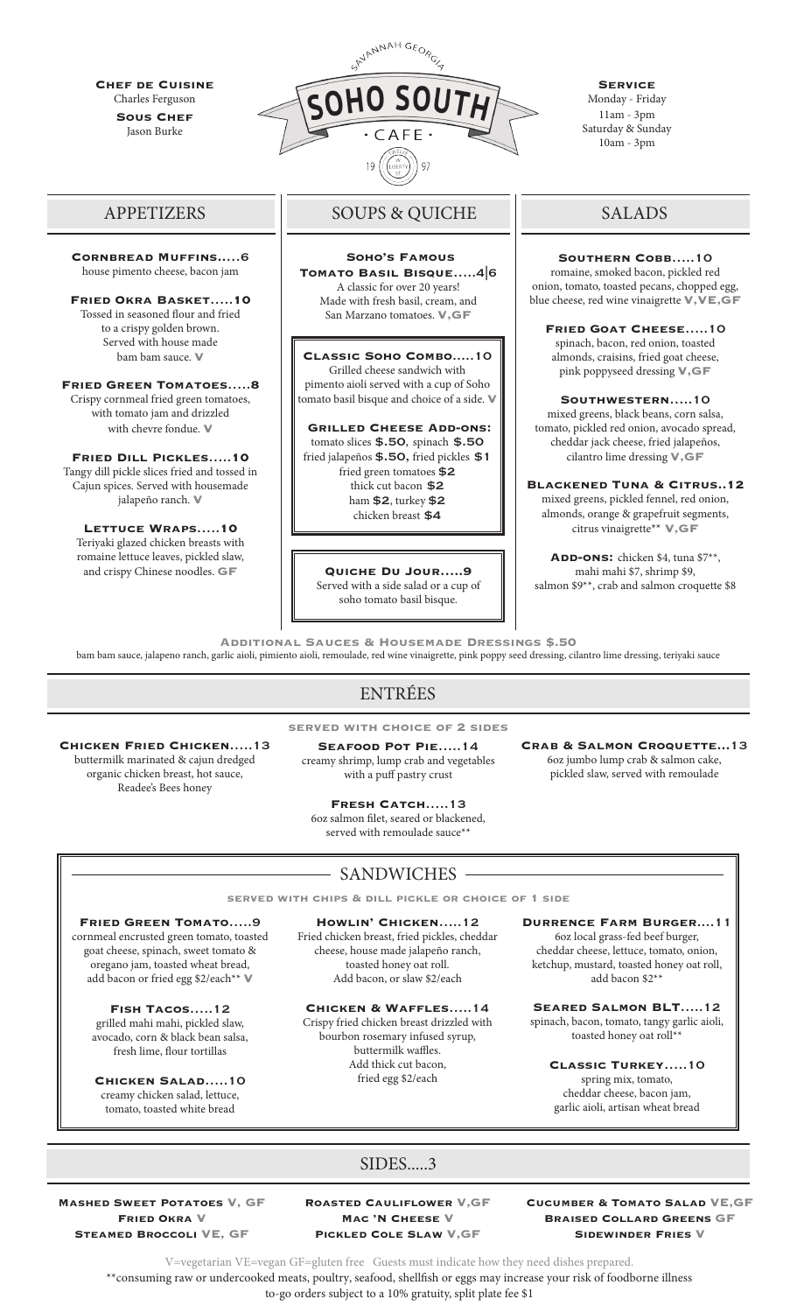**Chef de Cuisine** Charles Ferguson **SOUS CHEF** Jason Burke

**Cornbread Muffins..**…6 house pimento cheese, bacon jam

**Fried Okra Basket**…..**10**  Tossed in seasoned flour and fried to a crispy golden brown. Served with house made bam bam sauce. **V**

**Fried Green Tomatoes**…..**8**  Crispy cornmeal fried green tomatoes, with tomato jam and drizzled with chevre fondue. **V**

**Fried Dill Pickles**…..**10**  Tangy dill pickle slices fried and tossed in Cajun spices. Served with housemade jalapeño ranch. **V**

**Lettuce Wraps**…..**10**  Teriyaki glazed chicken breasts with romaine lettuce leaves, pickled slaw, and crispy Chinese noodles. **GF**



# APPETIZERS | SOUPS & QUICHE

 **Soho's Famous Tomato Basil Bisque**…..4|6 A classic for over 20 years! Made with fresh basil, cream, and San Marzano tomatoes. **V,GF** 

**Classic Soho Combo**.....10 Grilled cheese sandwich with pimento aioli served with a cup of Soho tomato basil bisque and choice of a side. **V**

 **Grilled Cheese Add-ons:** tomato slices \$.50, spinach \$.50 fried jalapeños \$.50, fried pickles \$1 fried green tomatoes \$2 thick cut bacon \$2 ham \$2, turkey \$2 chicken breast \$4

**Quiche Du Jour…..9**  Served with a side salad or a cup of soho tomato basil bisque.

**Service** Monday - Friday 11am - 3pm Saturday & Sunday 10am - 3pm

# SALADS

**Southern Cobb**…..10 romaine, smoked bacon, pickled red onion, tomato, toasted pecans, chopped egg, blue cheese, red wine vinaigrette **V,VE,GF**

**Fried Goat Cheese**…..10 spinach, bacon, red onion, toasted almonds, craisins, fried goat cheese, pink poppyseed dressing **V,GF**

**Southwestern**…..10 mixed greens, black beans, corn salsa, tomato, pickled red onion, avocado spread, cheddar jack cheese, fried jalapeños, cilantro lime dressing **V,GF**

**Blackened Tuna & Citrus..12**  mixed greens, pickled fennel, red onion, almonds, orange & grapefruit segments, citrus vinaigrette\*\* **V,GF**

**Add-ons:** chicken \$4, tuna \$7\*\*, mahi mahi \$7, shrimp \$9, salmon \$9\*\*, crab and salmon croquette \$8

**Additional Sauces & Housemade Dressings \$.50**

bam bam sauce, jalapeno ranch, garlic aioli, pimiento aioli, remoulade, red wine vinaigrette, pink poppy seed dressing, cilantro lime dressing, teriyaki sauce

# ENTRÉES

**served with choice of 2 sides**

**Chicken Fried Chicken**…..13 buttermilk marinated & cajun dredged organic chicken breast, hot sauce, Readee's Bees honey

**Seafood Pot Pie**…..14 creamy shrimp, lump crab and vegetables with a puff pastry crust

**Crab & Salmon Croquette...**13 6oz jumbo lump crab & salmon cake, pickled slaw, served with remoulade

**Fresh Catch**…..13

6oz salmon filet, seared or blackened, served with remoulade sauce\*\*

## - SANDWICHES -

**served with chips & dill pickle or choice of 1 side**

**Fried Green Tomato**…..9 cornmeal encrusted green tomato, toasted goat cheese, spinach, sweet tomato & oregano jam, toasted wheat bread, add bacon or fried egg \$2/each\*\* **V**

**Fish Tacos**…..12 grilled mahi mahi, pickled slaw, avocado, corn & black bean salsa, fresh lime, flour tortillas

**Chicken Salad**…..10 creamy chicken salad, lettuce, tomato, toasted white bread

**Howlin' Chicken**…..12 Fried chicken breast, fried pickles, cheddar

cheese, house made jalapeño ranch, toasted honey oat roll. Add bacon, or slaw \$2/each

**Chicken & Waffles**…..14

Crispy fried chicken breast drizzled with bourbon rosemary infused syrup, buttermilk waffles. Add thick cut bacon, fried egg \$2/each

**Durrence Farm Burger**....11 6oz local grass-fed beef burger, cheddar cheese, lettuce, tomato, onion, ketchup, mustard, toasted honey oat roll, add bacon \$2\*\*

**Seared Salmon BLT**…..12 spinach, bacon, tomato, tangy garlic aioli, toasted honey oat roll\*\*

**Classic Turkey**…..10 spring mix, tomato, cheddar cheese, bacon jam, garlic aioli, artisan wheat bread

# SIDES.....3

**Mashed Sweet Potatoes V, GF Fried Okra V Steamed Broccoli VE, GF**

**Roasted Cauliflower V,GF Mac 'N Cheese V Pickled Cole Slaw V,GF**

**Cucumber & Tomato Salad VE,GF Braised Collard Greens GF Sidewinder Fries V**

V=vegetarian VE=vegan GF=gluten free Guests must indicate how they need dishes prepared. \*\*consuming raw or undercooked meats, poultry, seafood, shellfish or eggs may increase your risk of foodborne illness

to-go orders subject to a 10% gratuity, split plate fee \$1